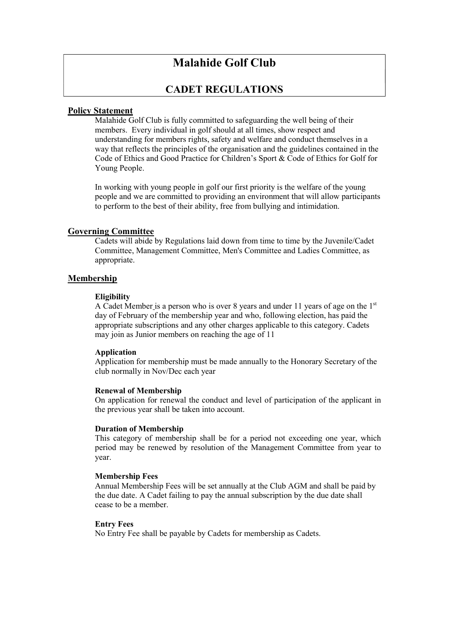# Malahide Golf Club

## CADET REGULATIONS

## Policy Statement

Malahide Golf Club is fully committed to safeguarding the well being of their members. Every individual in golf should at all times, show respect and understanding for members rights, safety and welfare and conduct themselves in a way that reflects the principles of the organisation and the guidelines contained in the Code of Ethics and Good Practice for Children's Sport & Code of Ethics for Golf for Young People.

In working with young people in golf our first priority is the welfare of the young people and we are committed to providing an environment that will allow participants to perform to the best of their ability, free from bullying and intimidation.

## Governing Committee

Cadets will abide by Regulations laid down from time to time by the Juvenile/Cadet Committee, Management Committee, Men's Committee and Ladies Committee, as appropriate.

## Membership

#### **Eligibility**

A Cadet Member is a person who is over 8 years and under 11 years of age on the  $1<sup>st</sup>$ day of February of the membership year and who, following election, has paid the appropriate subscriptions and any other charges applicable to this category. Cadets may join as Junior members on reaching the age of 11

#### Application

Application for membership must be made annually to the Honorary Secretary of the club normally in Nov/Dec each year

#### Renewal of Membership

On application for renewal the conduct and level of participation of the applicant in the previous year shall be taken into account.

#### Duration of Membership

This category of membership shall be for a period not exceeding one year, which period may be renewed by resolution of the Management Committee from year to year.

#### Membership Fees

Annual Membership Fees will be set annually at the Club AGM and shall be paid by the due date. A Cadet failing to pay the annual subscription by the due date shall cease to be a member.

#### Entry Fees

No Entry Fee shall be payable by Cadets for membership as Cadets.